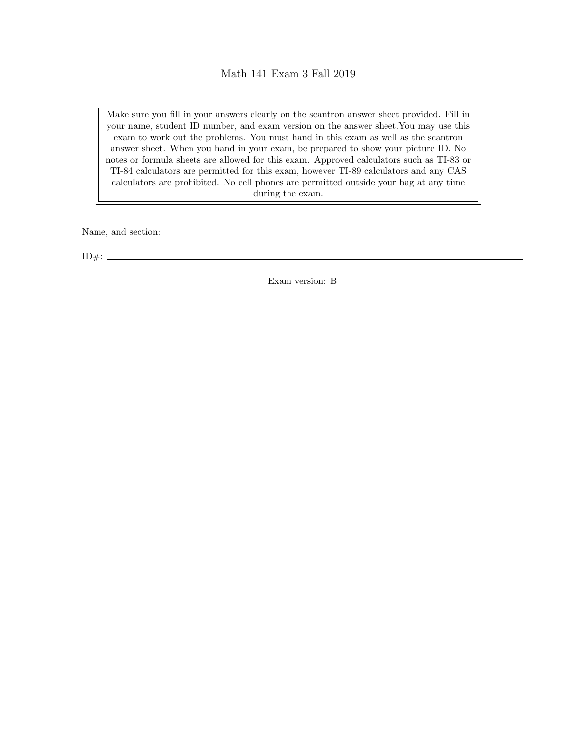## Math 141 Exam 3 Fall 2019

Make sure you fill in your answers clearly on the scantron answer sheet provided. Fill in your name, student ID number, and exam version on the answer sheet.You may use this exam to work out the problems. You must hand in this exam as well as the scantron answer sheet. When you hand in your exam, be prepared to show your picture ID. No notes or formula sheets are allowed for this exam. Approved calculators such as TI-83 or TI-84 calculators are permitted for this exam, however TI-89 calculators and any CAS calculators are prohibited. No cell phones are permitted outside your bag at any time during the exam.

Name, and section:

ID#:  $-$ 

Exam version: B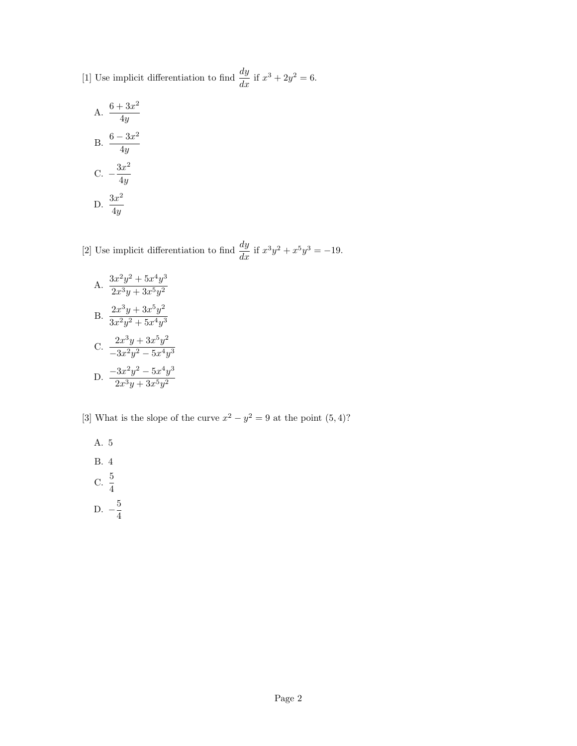[1] Use implicit differentiation to find  $\frac{dy}{dx}$  if  $x^3 + 2y^2 = 6$ .

A. 
$$
\frac{6 + 3x^2}{4y}
$$
  
\nB.  $\frac{6 - 3x^2}{4y}$   
\nC.  $-\frac{3x^2}{4y}$   
\nD.  $\frac{3x^2}{4y}$ 

[2] Use implicit differentiation to find  $\frac{dy}{dx}$  if  $x^3y^2 + x^5y^3 = -19$ .

A. 
$$
\frac{3x^2y^2 + 5x^4y^3}{2x^3y + 3x^5y^2}
$$
  
B. 
$$
\frac{2x^3y + 3x^5y^2}{3x^2y^2 + 5x^4y^3}
$$
  
C. 
$$
\frac{2x^3y + 3x^5y^2}{-3x^2y^2 - 5x^4y^3}
$$
  
D. 
$$
\frac{-3x^2y^2 - 5x^4y^3}{2x^3y + 3x^5y^2}
$$

[3] What is the slope of the curve  $x^2 - y^2 = 9$  at the point  $(5, 4)$ ?

A. 5

B. 4  $C. \frac{5}{4}$ 

D. 
$$
-\frac{5}{4}
$$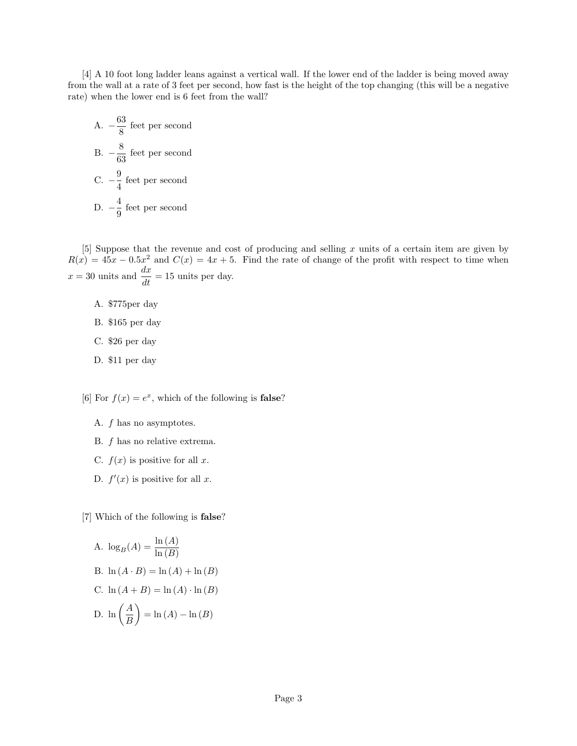[4] A 10 foot long ladder leans against a vertical wall. If the lower end of the ladder is being moved away from the wall at a rate of 3 feet per second, how fast is the height of the top changing (this will be a negative rate) when the lower end is 6 feet from the wall?

A. 
$$
-\frac{63}{8}
$$
 feet per second  
B.  $-\frac{8}{63}$  feet per second  
C.  $-\frac{9}{4}$  feet per second  
D.  $-\frac{4}{9}$  feet per second

[5] Suppose that the revenue and cost of producing and selling x units of a certain item are given by  $R(x) = 45x - 0.5x^2$  and  $C(x) = 4x + 5$ . Find the rate of change of the profit with respect to time when  $x = 30$  units and  $\frac{dx}{dt} = 15$  units per day.

- A. \$775per day
- B. \$165 per day
- C. \$26 per day
- D. \$11 per day

[6] For  $f(x) = e^x$ , which of the following is **false**?

- A. f has no asymptotes.
- B. f has no relative extrema.
- C.  $f(x)$  is positive for all x.
- D.  $f'(x)$  is positive for all x.

[7] Which of the following is false?

A. 
$$
\log_B(A) = \frac{\ln(A)}{\ln(B)}
$$
  
\nB.  $\ln(A \cdot B) = \ln(A) + \ln(B)$   
\nC.  $\ln(A + B) = \ln(A) \cdot \ln(B)$   
\nD.  $\ln\left(\frac{A}{B}\right) = \ln(A) - \ln(B)$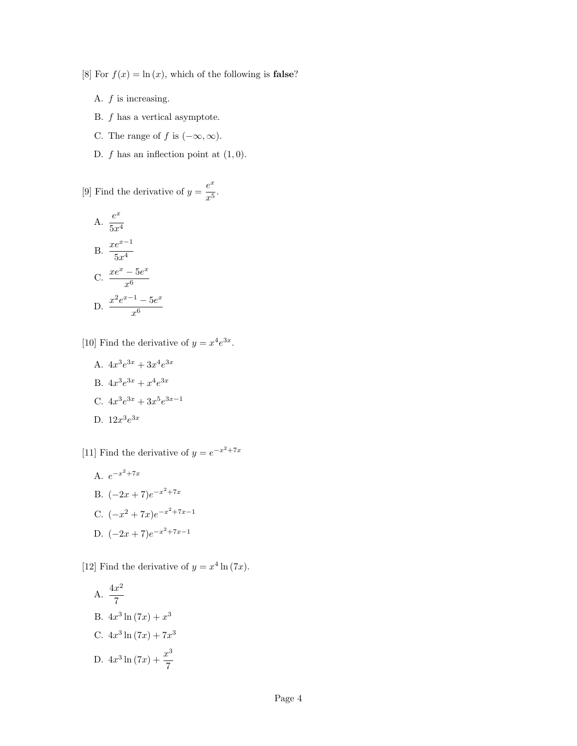[8] For  $f(x) = \ln(x)$ , which of the following is **false**?

- A.  $f$  is increasing.
- B. f has a vertical asymptote.
- C. The range of f is  $(-\infty, \infty)$ .
- D.  $f$  has an inflection point at  $(1, 0)$ .

[9] Find the derivative of  $y = \frac{e^x}{5}$  $\frac{c}{x^5}$ .

A. 
$$
\frac{e^x}{5x^4}
$$
  
B. 
$$
\frac{xe^{x-1}}{5x^4}
$$
  
C. 
$$
\frac{xe^x - 5e^x}{x^6}
$$
  
D. 
$$
\frac{x^2e^{x-1} - 5e^x}{x^6}
$$

[10] Find the derivative of  $y = x^4 e^{3x}$ .

- A.  $4x^3e^{3x} + 3x^4e^{3x}$
- B.  $4x^3e^{3x} + x^4e^{3x}$
- C.  $4x^3e^{3x} + 3x^5e^{3x-1}$
- D.  $12x^3e^{3x}$

[11] Find the derivative of  $y = e^{-x^2 + 7x}$ 

A.  $e^{-x^2 + 7x}$ B.  $(-2x+7)e^{-x^2+7x}$ C.  $(-x^2 + 7x)e^{-x^2 + 7x - 1}$ D.  $(-2x+7)e^{-x^2+7x-1}$ 

[12] Find the derivative of  $y = x^4 \ln(7x)$ .

A. 
$$
\frac{4x^2}{7}
$$
  
\nB.  $4x^3 \ln(7x) + x^3$   
\nC.  $4x^3 \ln(7x) + 7x^3$   
\nD.  $4x^3 \ln(7x) + \frac{x^3}{7}$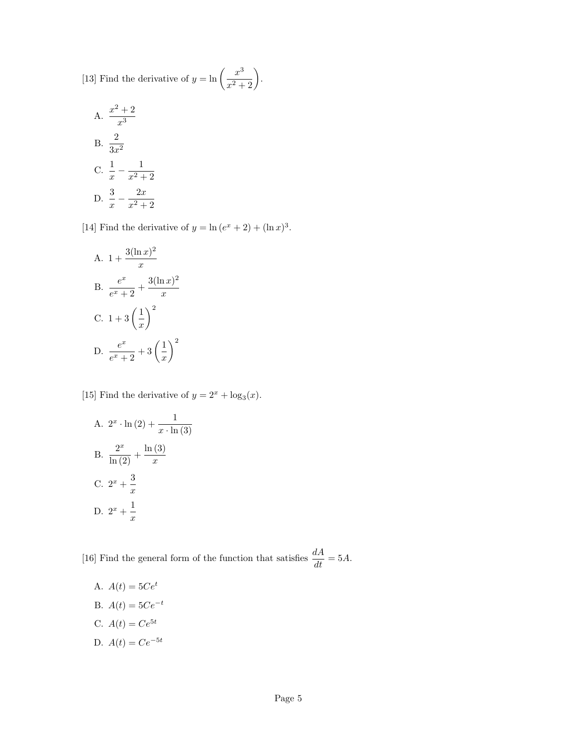[13] Find the derivative of  $y = \ln \left( \frac{x^3}{2} \right)$  $\frac{x^3}{x^2+2}$ .

A. 
$$
\frac{x^2 + 2}{x^3}
$$
  
B. 
$$
\frac{2}{3x^2}
$$
  
C. 
$$
\frac{1}{x} - \frac{1}{x^2 + 2}
$$
  
D. 
$$
\frac{3}{x} - \frac{2x}{x^2 + 2}
$$

[14] Find the derivative of  $y = \ln(e^x + 2) + (\ln x)^3$ .

A. 
$$
1 + \frac{3(\ln x)^2}{x}
$$
  
\nB.  $\frac{e^x}{e^x + 2} + \frac{3(\ln x)^2}{x}$   
\nC.  $1 + 3\left(\frac{1}{x}\right)^2$   
\nD.  $\frac{e^x}{e^x + 2} + 3\left(\frac{1}{x}\right)^2$ 

[15] Find the derivative of  $y = 2^x + \log_3(x)$ .

A. 
$$
2^x \cdot \ln(2) + \frac{1}{x \cdot \ln(3)}
$$
  
\nB.  $\frac{2^x}{\ln(2)} + \frac{\ln(3)}{x}$   
\nC.  $2^x + \frac{3}{x}$   
\nD.  $2^x + \frac{1}{x}$ 

[16] Find the general form of the function that satisfies  $\frac{dA}{dt} = 5A$ .

- A.  $A(t) = 5Ce^{t}$
- B.  $A(t) = 5Ce^{-t}$
- C.  $A(t) = Ce^{5t}$
- D.  $A(t) = Ce^{-5t}$